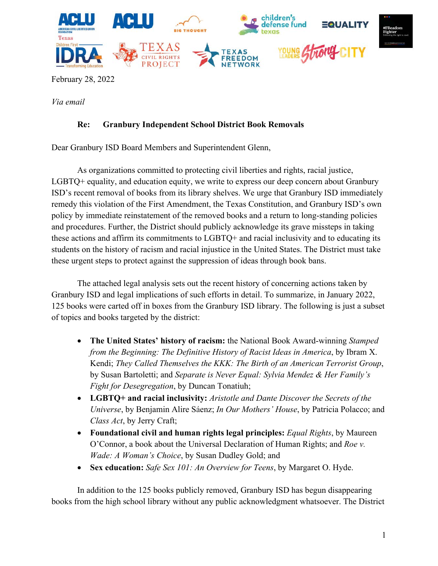

February 28, 2022

*Via email* 

# **Re: Granbury Independent School District Book Removals**

Dear Granbury ISD Board Members and Superintendent Glenn,

As organizations committed to protecting civil liberties and rights, racial justice, LGBTQ+ equality, and education equity, we write to express our deep concern about Granbury ISD's recent removal of books from its library shelves. We urge that Granbury ISD immediately remedy this violation of the First Amendment, the Texas Constitution, and Granbury ISD's own policy by immediate reinstatement of the removed books and a return to long-standing policies and procedures. Further, the District should publicly acknowledge its grave missteps in taking these actions and affirm its commitments to LGBTQ+ and racial inclusivity and to educating its students on the history of racism and racial injustice in the United States. The District must take these urgent steps to protect against the suppression of ideas through book bans.

The attached legal analysis sets out the recent history of concerning actions taken by Granbury ISD and legal implications of such efforts in detail. To summarize, in January 2022, 125 books were carted off in boxes from the Granbury ISD library. The following is just a subset of topics and books targeted by the district:

- **The United States' history of racism:** the National Book Award-winning *Stamped from the Beginning: The Definitive History of Racist Ideas in America*, by Ibram X. Kendi; *They Called Themselves the KKK: The Birth of an American Terrorist Group*, by Susan Bartoletti; and *Separate is Never Equal: Sylvia Mendez & Her Family's Fight for Desegregation*, by Duncan Tonatiuh;
- **LGBTQ+ and racial inclusivity:** *Aristotle and Dante Discover the Secrets of the Universe*, by Benjamin Alire Sáenz; *In Our Mothers' House*, by Patricia Polacco; and *Class Act*, by Jerry Craft;
- **Foundational civil and human rights legal principles:** *Equal Rights*, by Maureen O'Connor, a book about the Universal Declaration of Human Rights; and *Roe v. Wade: A Woman's Choice*, by Susan Dudley Gold; and
- **Sex education:** *Safe Sex 101: An Overview for Teens*, by Margaret O. Hyde.

In addition to the 125 books publicly removed, Granbury ISD has begun disappearing books from the high school library without any public acknowledgment whatsoever. The District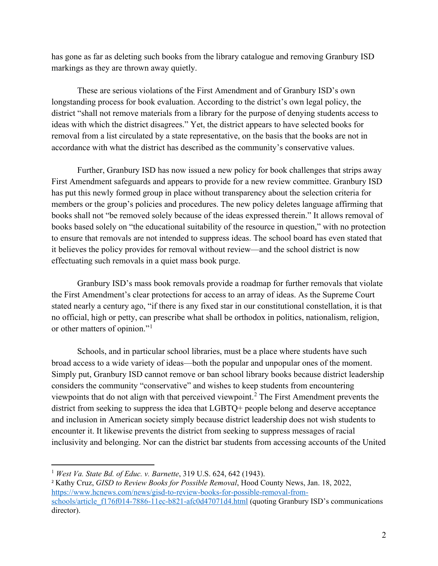has gone as far as deleting such books from the library catalogue and removing Granbury ISD markings as they are thrown away quietly.

These are serious violations of the First Amendment and of Granbury ISD's own longstanding process for book evaluation. According to the district's own legal policy, the district "shall not remove materials from a library for the purpose of denying students access to ideas with which the district disagrees." Yet, the district appears to have selected books for removal from a list circulated by a state representative, on the basis that the books are not in accordance with what the district has described as the community's conservative values.

Further, Granbury ISD has now issued a new policy for book challenges that strips away First Amendment safeguards and appears to provide for a new review committee. Granbury ISD has put this newly formed group in place without transparency about the selection criteria for members or the group's policies and procedures. The new policy deletes language affirming that books shall not "be removed solely because of the ideas expressed therein." It allows removal of books based solely on "the educational suitability of the resource in question," with no protection to ensure that removals are not intended to suppress ideas. The school board has even stated that it believes the policy provides for removal without review—and the school district is now effectuating such removals in a quiet mass book purge.

Granbury ISD's mass book removals provide a roadmap for further removals that violate the First Amendment's clear protections for access to an array of ideas. As the Supreme Court stated nearly a century ago, "if there is any fixed star in our constitutional constellation, it is that no official, high or petty, can prescribe what shall be orthodox in politics, nationalism, religion, or other matters of opinion."<sup>[1](#page-1-0)</sup>

Schools, and in particular school libraries, must be a place where students have such broad access to a wide variety of ideas—both the popular and unpopular ones of the moment. Simply put, Granbury ISD cannot remove or ban school library books because district leadership considers the community "conservative" and wishes to keep students from encountering viewpoints that do not align with that perceived viewpoint. [2](#page-1-1) The First Amendment prevents the district from seeking to suppress the idea that LGBTQ+ people belong and deserve acceptance and inclusion in American society simply because district leadership does not wish students to encounter it. It likewise prevents the district from seeking to suppress messages of racial inclusivity and belonging. Nor can the district bar students from accessing accounts of the United

<span id="page-1-0"></span><sup>1</sup> *West Va. State Bd. of Educ. v. Barnette*, 319 U.S. 624, 642 (1943).

<span id="page-1-1"></span><sup>2</sup> Kathy Cruz, *GISD to Review Books for Possible Removal*, Hood County News, Jan. 18, 2022, [https://www.hcnews.com/news/gisd-to-review-books-for-possible-removal-from](https://www.hcnews.com/news/gisd-to-review-books-for-possible-removal-from-schools/article_f176f014-7886-11ec-b821-afc0d47071d4.html)[schools/article\\_f176f014-7886-11ec-b821-afc0d47071d4.html](https://www.hcnews.com/news/gisd-to-review-books-for-possible-removal-from-schools/article_f176f014-7886-11ec-b821-afc0d47071d4.html) (quoting Granbury ISD's communications director).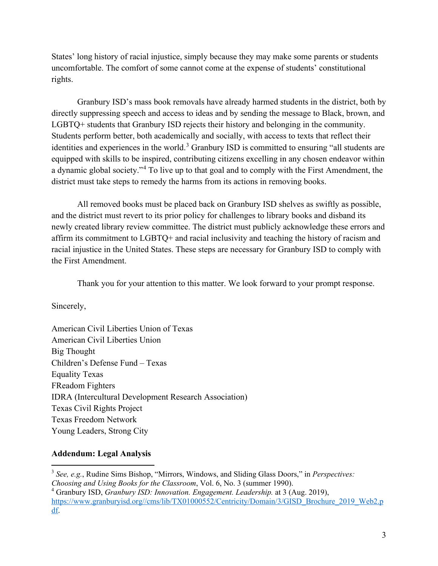States' long history of racial injustice, simply because they may make some parents or students uncomfortable. The comfort of some cannot come at the expense of students' constitutional rights.

Granbury ISD's mass book removals have already harmed students in the district, both by directly suppressing speech and access to ideas and by sending the message to Black, brown, and LGBTQ+ students that Granbury ISD rejects their history and belonging in the community. Students perform better, both academically and socially, with access to texts that reflect their identities and experiences in the world.<sup>[3](#page-2-0)</sup> Granbury ISD is committed to ensuring "all students are equipped with skills to be inspired, contributing citizens excelling in any chosen endeavor within a dynamic global society."[4](#page-2-1) To live up to that goal and to comply with the First Amendment, the district must take steps to remedy the harms from its actions in removing books.

All removed books must be placed back on Granbury ISD shelves as swiftly as possible, and the district must revert to its prior policy for challenges to library books and disband its newly created library review committee. The district must publicly acknowledge these errors and affirm its commitment to LGBTQ+ and racial inclusivity and teaching the history of racism and racial injustice in the United States. These steps are necessary for Granbury ISD to comply with the First Amendment.

Thank you for your attention to this matter. We look forward to your prompt response.

Sincerely,

American Civil Liberties Union of Texas American Civil Liberties Union Big Thought Children's Defense Fund – Texas Equality Texas FReadom Fighters IDRA (Intercultural Development Research Association) Texas Civil Rights Project Texas Freedom Network Young Leaders, Strong City

# **Addendum: Legal Analysis**

<span id="page-2-0"></span><sup>3</sup> *See, e.g.*, Rudine Sims Bishop, "Mirrors, Windows, and Sliding Glass Doors," in *Perspectives:* 

*Choosing and Using Books for the Classroom*, Vol. 6, No. 3 (summer 1990).

<span id="page-2-1"></span><sup>4</sup> Granbury ISD, *Granbury ISD: Innovation. Engagement. Leadership.* at 3 (Aug. 2019), [https://www.granburyisd.org//cms/lib/TX01000552/Centricity/Domain/3/GISD\\_Brochure\\_2019\\_Web2.p](https://www.granburyisd.org/cms/lib/TX01000552/Centricity/Domain/3/GISD_Brochure_2019_Web2.pdf) [df.](https://www.granburyisd.org/cms/lib/TX01000552/Centricity/Domain/3/GISD_Brochure_2019_Web2.pdf)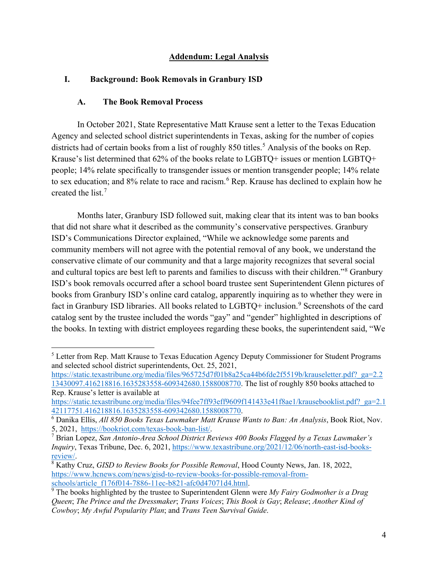### **Addendum: Legal Analysis**

#### **I. Background: Book Removals in Granbury ISD**

#### **A. The Book Removal Process**

In October 2021, State Representative Matt Krause sent a letter to the Texas Education Agency and selected school district superintendents in Texas, asking for the number of copies districts had of certain books from a list of roughly 8[5](#page-3-0)0 titles.<sup>5</sup> Analysis of the books on Rep. Krause's list determined that 62% of the books relate to LGBTQ+ issues or mention LGBTQ+ people; 14% relate specifically to transgender issues or mention transgender people; 14% relate to sex education; and 8% relate to race and racism.<sup>[6](#page-3-1)</sup> Rep. Krause has declined to explain how he created the list.[7](#page-3-2)

Months later, Granbury ISD followed suit, making clear that its intent was to ban books that did not share what it described as the community's conservative perspectives. Granbury ISD's Communications Director explained, "While we acknowledge some parents and community members will not agree with the potential removal of any book, we understand the conservative climate of our community and that a large majority recognizes that several social and cultural topics are best left to parents and families to discuss with their children."[8](#page-3-3) Granbury ISD's book removals occurred after a school board trustee sent Superintendent Glenn pictures of books from Granbury ISD's online card catalog, apparently inquiring as to whether they were in fact in Granbury ISD libraries. All books related to LGBTQ+ inclusion.<sup>[9](#page-3-4)</sup> Screenshots of the card catalog sent by the trustee included the words "gay" and "gender" highlighted in descriptions of the books. In texting with district employees regarding these books, the superintendent said, "We

[https://static.texastribune.org/media/files/965725d7f01b8a25ca44b6fde2f5519b/krauseletter.pdf?\\_ga=2.2](https://static.texastribune.org/media/files/965725d7f01b8a25ca44b6fde2f5519b/krauseletter.pdf?_ga=2.213430097.416218816.1635283558-609342680.1588008770) [13430097.416218816.1635283558-609342680.1588008770.](https://static.texastribune.org/media/files/965725d7f01b8a25ca44b6fde2f5519b/krauseletter.pdf?_ga=2.213430097.416218816.1635283558-609342680.1588008770) The list of roughly 850 books attached to Rep. Krause's letter is available at

<span id="page-3-0"></span><sup>&</sup>lt;sup>5</sup> Letter from Rep. Matt Krause to Texas Education Agency Deputy Commissioner for Student Programs and selected school district superintendents, Oct. 25, 2021,

[https://static.texastribune.org/media/files/94fee7ff93eff9609f141433e41f8ae1/krausebooklist.pdf?\\_ga=2.1](https://static.texastribune.org/media/files/94fee7ff93eff9609f141433e41f8ae1/krausebooklist.pdf?_ga=2.142117751.416218816.1635283558-609342680.1588008770) [42117751.416218816.1635283558-609342680.1588008770.](https://static.texastribune.org/media/files/94fee7ff93eff9609f141433e41f8ae1/krausebooklist.pdf?_ga=2.142117751.416218816.1635283558-609342680.1588008770) 6 Danika Ellis, *All 850 Books Texas Lawmaker Matt Krause Wants to Ban: An Analysis*, Book Riot, Nov.

<span id="page-3-1"></span><sup>5, 2021,</sup> [https://bookriot.com/texas-book-ban-list/.](https://bookriot.com/texas-book-ban-list/) 7 Brian Lopez, *San Antonio-Area School District Reviews 400 Books Flagged by a Texas Lawmaker's* 

<span id="page-3-2"></span>*Inquiry*, Texas Tribune, Dec. 6, 2021, [https://www.texastribune.org/2021/12/06/north-east-isd-books](https://www.texastribune.org/2021/12/06/north-east-isd-books-review/)[review/.](https://www.texastribune.org/2021/12/06/north-east-isd-books-review/) 8 Kathy Cruz, *GISD to Review Books for Possible Removal*, Hood County News, Jan. 18, 2022,

<span id="page-3-3"></span>https://www.hcnews.com/news/gisd-to-review-books-for-possible-removal-from-<br>schools/article\_f176f014-7886-11ec-b821-afc0d47071d4.html.

<span id="page-3-4"></span><sup>&</sup>lt;sup>9</sup> The books highlighted by the trustee to Superintendent Glenn were *My Fairy Godmother is a Drag Queen*; *The Prince and the Dressmaker*; *Trans Voices*; *This Book is Gay*; *Release*; *Another Kind of Cowboy*; *My Awful Popularity Plan*; and *Trans Teen Survival Guide*.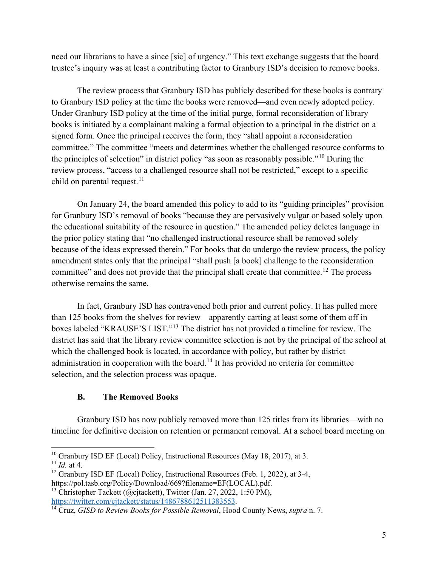need our librarians to have a since [sic] of urgency." This text exchange suggests that the board trustee's inquiry was at least a contributing factor to Granbury ISD's decision to remove books.

The review process that Granbury ISD has publicly described for these books is contrary to Granbury ISD policy at the time the books were removed—and even newly adopted policy. Under Granbury ISD policy at the time of the initial purge, formal reconsideration of library books is initiated by a complainant making a formal objection to a principal in the district on a signed form. Once the principal receives the form, they "shall appoint a reconsideration committee." The committee "meets and determines whether the challenged resource conforms to the principles of selection" in district policy "as soon as reasonably possible."[10](#page-4-0) During the review process, "access to a challenged resource shall not be restricted," except to a specific child on parental request. $11$ 

On January 24, the board amended this policy to add to its "guiding principles" provision for Granbury ISD's removal of books "because they are pervasively vulgar or based solely upon the educational suitability of the resource in question." The amended policy deletes language in the prior policy stating that "no challenged instructional resource shall be removed solely because of the ideas expressed therein." For books that do undergo the review process, the policy amendment states only that the principal "shall push [a book] challenge to the reconsideration committee" and does not provide that the principal shall create that committee.<sup>[12](#page-4-2)</sup> The process otherwise remains the same.

In fact, Granbury ISD has contravened both prior and current policy. It has pulled more than 125 books from the shelves for review—apparently carting at least some of them off in boxes labeled "KRAUSE'S LIST."[13](#page-4-3) The district has not provided a timeline for review. The district has said that the library review committee selection is not by the principal of the school at which the challenged book is located, in accordance with policy, but rather by district administration in cooperation with the board.<sup>[14](#page-4-4)</sup> It has provided no criteria for committee selection, and the selection process was opaque.

## **B. The Removed Books**

Granbury ISD has now publicly removed more than 125 titles from its libraries—with no timeline for definitive decision on retention or permanent removal. At a school board meeting on

<span id="page-4-3"></span><sup>13</sup> Christopher Tackett (@cjtackett), Twitter (Jan. 27, 2022, 1:50 PM), https://twitter.com/cjtackett/status/1486788612511383553.

<span id="page-4-0"></span><sup>&</sup>lt;sup>10</sup> Granbury ISD EF (Local) Policy, Instructional Resources (May 18, 2017), at 3. <sup>11</sup> *Id.* at 4.

<span id="page-4-1"></span>

<span id="page-4-2"></span><sup>&</sup>lt;sup>12</sup> Granbury ISD EF (Local) Policy, Instructional Resources (Feb. 1, 2022), at 3-4, https://pol.tasb.org/Policy/Download/669?filename=EF(LOCAL).pdf.

<span id="page-4-4"></span><sup>&</sup>lt;sup>14</sup> Cruz, *GISD to Review Books for Possible Removal*, Hood County News, *supra* n. 7.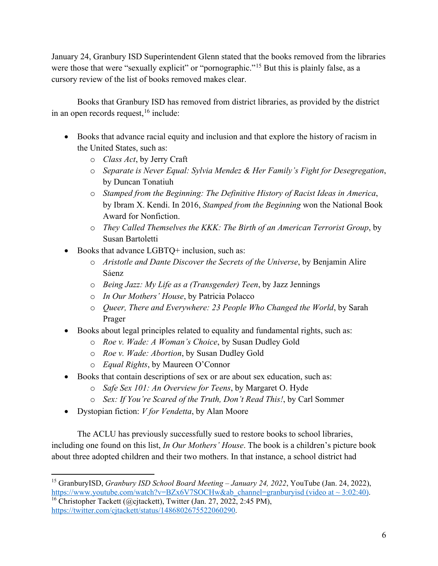January 24, Granbury ISD Superintendent Glenn stated that the books removed from the libraries were those that were "sexually explicit" or "pornographic."<sup>[15](#page-5-0)</sup> But this is plainly false, as a cursory review of the list of books removed makes clear.

Books that Granbury ISD has removed from district libraries, as provided by the district in an open records request,  $16$  include:

- Books that advance racial equity and inclusion and that explore the history of racism in the United States, such as:
	- o *Class Act*, by Jerry Craft
	- o *Separate is Never Equal: Sylvia Mendez & Her Family's Fight for Desegregation*, by Duncan Tonatiuh
	- o *Stamped from the Beginning: The Definitive History of Racist Ideas in America*, by Ibram X. Kendi. In 2016, *Stamped from the Beginning* won the National Book Award for Nonfiction.
	- o *They Called Themselves the KKK: The Birth of an American Terrorist Group*, by Susan Bartoletti
- Books that advance LGBTQ+ inclusion, such as:
	- o *Aristotle and Dante Discover the Secrets of the Universe*, by Benjamin Alire Sáenz
	- o *Being Jazz: My Life as a (Transgender) Teen*, by Jazz Jennings
	- o *In Our Mothers' House*, by Patricia Polacco
	- o *Queer, There and Everywhere: 23 People Who Changed the World*, by Sarah Prager
- Books about legal principles related to equality and fundamental rights, such as:
	- o *Roe v. Wade: A Woman's Choice*, by Susan Dudley Gold
	- o *Roe v. Wade: Abortion*, by Susan Dudley Gold
	- o *Equal Rights*, by Maureen O'Connor
- Books that contain descriptions of sex or are about sex education, such as:
	- o *Safe Sex 101: An Overview for Teens*, by Margaret O. Hyde
	- o *Sex: If You're Scared of the Truth, Don't Read This!*, by Carl Sommer
- Dystopian fiction: *V for Vendetta*, by Alan Moore

The ACLU has previously successfully sued to restore books to school libraries, including one found on this list, *In Our Mothers' House*. The book is a children's picture book about three adopted children and their two mothers. In that instance, a school district had

<span id="page-5-0"></span><sup>15</sup> GranburyISD, *Granbury ISD School Board Meeting – January 24, 2022*, YouTube (Jan. 24, 2022), https://www.youtube.com/watch?v=BZx6V7SOCHw&ab\_channel=granburyisd (video at ~ 3:02:40). <sup>16</sup> Christopher Tackett (@cjtackett), Twitter (Jan. 27, 2022, 2:45 PM),

<span id="page-5-1"></span>[https://twitter.com/cjtackett/status/1486802675522060290.](https://twitter.com/cjtackett/status/1486802675522060290)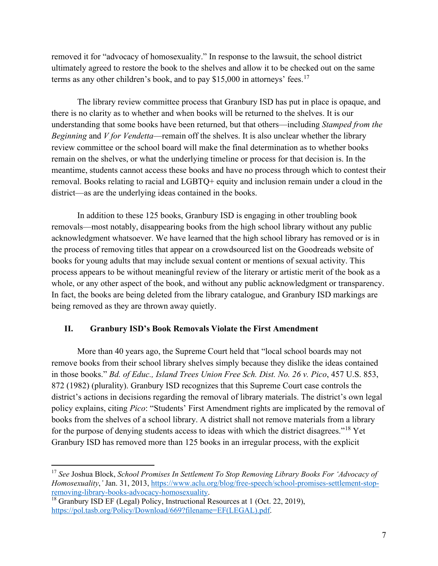removed it for "advocacy of homosexuality." In response to the lawsuit, the school district ultimately agreed to restore the book to the shelves and allow it to be checked out on the same terms as any other children's book, and to pay  $$15,000$  in attorneys' fees.<sup>[17](#page-6-0)</sup>

The library review committee process that Granbury ISD has put in place is opaque, and there is no clarity as to whether and when books will be returned to the shelves. It is our understanding that some books have been returned, but that others—including *Stamped from the Beginning* and *V for Vendetta*—remain off the shelves. It is also unclear whether the library review committee or the school board will make the final determination as to whether books remain on the shelves, or what the underlying timeline or process for that decision is. In the meantime, students cannot access these books and have no process through which to contest their removal. Books relating to racial and LGBTQ+ equity and inclusion remain under a cloud in the district—as are the underlying ideas contained in the books.

In addition to these 125 books, Granbury ISD is engaging in other troubling book removals—most notably, disappearing books from the high school library without any public acknowledgment whatsoever. We have learned that the high school library has removed or is in the process of removing titles that appear on a crowdsourced list on the Goodreads website of books for young adults that may include sexual content or mentions of sexual activity. This process appears to be without meaningful review of the literary or artistic merit of the book as a whole, or any other aspect of the book, and without any public acknowledgment or transparency. In fact, the books are being deleted from the library catalogue, and Granbury ISD markings are being removed as they are thrown away quietly.

## **II. Granbury ISD's Book Removals Violate the First Amendment**

More than 40 years ago, the Supreme Court held that "local school boards may not remove books from their school library shelves simply because they dislike the ideas contained in those books." *Bd. of Educ., Island Trees Union Free Sch. Dist. No. 26 v. Pico*, 457 U.S. 853, 872 (1982) (plurality). Granbury ISD recognizes that this Supreme Court case controls the district's actions in decisions regarding the removal of library materials. The district's own legal policy explains, citing *Pico*: "Students' First Amendment rights are implicated by the removal of books from the shelves of a school library. A district shall not remove materials from a library for the purpose of denying students access to ideas with which the district disagrees."[18](#page-6-1) Yet Granbury ISD has removed more than 125 books in an irregular process, with the explicit

<span id="page-6-0"></span><sup>17</sup> *See* Joshua Block, *School Promises In Settlement To Stop Removing Library Books For 'Advocacy of Homosexuality*,'Jan. 31, 2013, https://www.aclu.org/blog/free-speech/school-promises-settlement-stop-<br>removing-library-books-advocacy-homosexuality.

<span id="page-6-1"></span><sup>&</sup>lt;sup>18</sup> Granbury ISD EF (Legal) Policy, Instructional Resources at 1 (Oct. 22, 2019), [https://pol.tasb.org/Policy/Download/669?filename=EF\(LEGAL\).pdf.](https://pol.tasb.org/Policy/Download/669?filename=EF(LEGAL).pdf)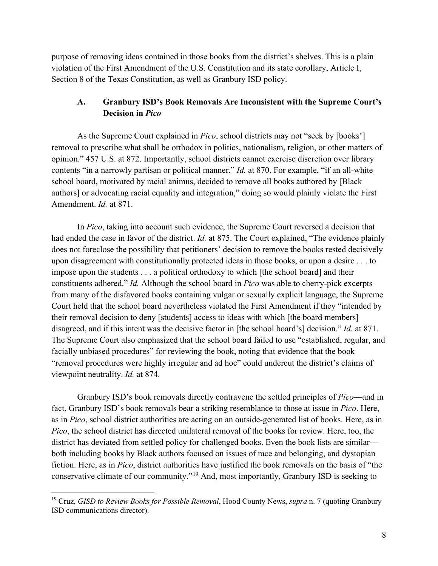purpose of removing ideas contained in those books from the district's shelves. This is a plain violation of the First Amendment of the U.S. Constitution and its state corollary, Article I, Section 8 of the Texas Constitution, as well as Granbury ISD policy.

# **A. Granbury ISD's Book Removals Are Inconsistent with the Supreme Court's Decision in** *Pico*

As the Supreme Court explained in *Pico*, school districts may not "seek by [books'] removal to prescribe what shall be orthodox in politics, nationalism, religion, or other matters of opinion." 457 U.S. at 872. Importantly, school districts cannot exercise discretion over library contents "in a narrowly partisan or political manner." *Id.* at 870. For example, "if an all-white school board, motivated by racial animus, decided to remove all books authored by [Black authors] or advocating racial equality and integration," doing so would plainly violate the First Amendment. *Id.* at 871.

In *Pico*, taking into account such evidence, the Supreme Court reversed a decision that had ended the case in favor of the district. *Id.* at 875. The Court explained, "The evidence plainly does not foreclose the possibility that petitioners' decision to remove the books rested decisively upon disagreement with constitutionally protected ideas in those books, or upon a desire . . . to impose upon the students . . . a political orthodoxy to which [the school board] and their constituents adhered." *Id.* Although the school board in *Pico* was able to cherry-pick excerpts from many of the disfavored books containing vulgar or sexually explicit language, the Supreme Court held that the school board nevertheless violated the First Amendment if they "intended by their removal decision to deny [students] access to ideas with which [the board members] disagreed, and if this intent was the decisive factor in [the school board's] decision." *Id.* at 871. The Supreme Court also emphasized that the school board failed to use "established, regular, and facially unbiased procedures" for reviewing the book, noting that evidence that the book "removal procedures were highly irregular and ad hoc" could undercut the district's claims of viewpoint neutrality. *Id.* at 874.

Granbury ISD's book removals directly contravene the settled principles of *Pico*—and in fact, Granbury ISD's book removals bear a striking resemblance to those at issue in *Pico*. Here, as in *Pico*, school district authorities are acting on an outside-generated list of books. Here, as in *Pico*, the school district has directed unilateral removal of the books for review. Here, too, the district has deviated from settled policy for challenged books. Even the book lists are similar both including books by Black authors focused on issues of race and belonging, and dystopian fiction. Here, as in *Pico*, district authorities have justified the book removals on the basis of "the conservative climate of our community."[19](#page-7-0) And, most importantly, Granbury ISD is seeking to

<span id="page-7-0"></span><sup>19</sup> Cruz, *GISD to Review Books for Possible Removal*, Hood County News, *supra* n. 7 (quoting Granbury ISD communications director).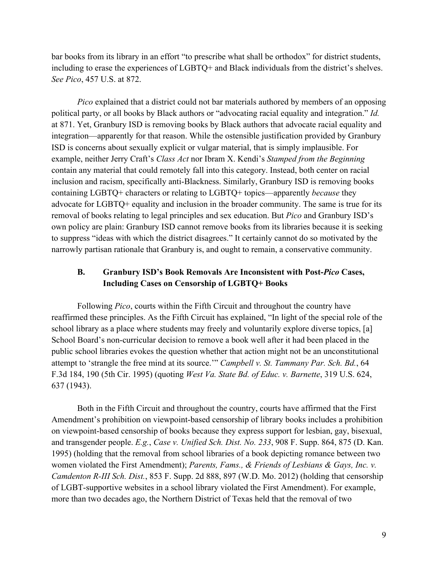bar books from its library in an effort "to prescribe what shall be orthodox" for district students, including to erase the experiences of LGBTQ+ and Black individuals from the district's shelves. *See Pico*, 457 U.S. at 872.

*Pico* explained that a district could not bar materials authored by members of an opposing political party, or all books by Black authors or "advocating racial equality and integration." *Id.*  at 871. Yet, Granbury ISD is removing books by Black authors that advocate racial equality and integration—apparently for that reason. While the ostensible justification provided by Granbury ISD is concerns about sexually explicit or vulgar material, that is simply implausible. For example, neither Jerry Craft's *Class Act* nor Ibram X. Kendi's *Stamped from the Beginning*  contain any material that could remotely fall into this category. Instead, both center on racial inclusion and racism, specifically anti-Blackness. Similarly, Granbury ISD is removing books containing LGBTQ+ characters or relating to LGBTQ+ topics—apparently *because* they advocate for LGBTQ+ equality and inclusion in the broader community. The same is true for its removal of books relating to legal principles and sex education. But *Pico* and Granbury ISD's own policy are plain: Granbury ISD cannot remove books from its libraries because it is seeking to suppress "ideas with which the district disagrees." It certainly cannot do so motivated by the narrowly partisan rationale that Granbury is, and ought to remain, a conservative community.

## **B. Granbury ISD's Book Removals Are Inconsistent with Post-***Pico* **Cases, Including Cases on Censorship of LGBTQ+ Books**

Following *Pico*, courts within the Fifth Circuit and throughout the country have reaffirmed these principles. As the Fifth Circuit has explained, "In light of the special role of the school library as a place where students may freely and voluntarily explore diverse topics, [a] School Board's non-curricular decision to remove a book well after it had been placed in the public school libraries evokes the question whether that action might not be an unconstitutional attempt to 'strangle the free mind at its source.'" *Campbell v. St. Tammany Par. Sch. Bd.*, 64 F.3d 184, 190 (5th Cir. 1995) (quoting *West Va. State Bd. of Educ. v. Barnette*, 319 U.S. 624, 637 (1943).

Both in the Fifth Circuit and throughout the country, courts have affirmed that the First Amendment's prohibition on viewpoint-based censorship of library books includes a prohibition on viewpoint-based censorship of books because they express support for lesbian, gay, bisexual, and transgender people. *E.g.*, *Case v. Unified Sch. Dist. No. 233*, 908 F. Supp. 864, 875 (D. Kan. 1995) (holding that the removal from school libraries of a book depicting romance between two women violated the First Amendment); *Parents, Fams., & Friends of Lesbians & Gays, Inc. v. Camdenton R-III Sch. Dist.*, 853 F. Supp. 2d 888, 897 (W.D. Mo. 2012) (holding that censorship of LGBT-supportive websites in a school library violated the First Amendment). For example, more than two decades ago, the Northern District of Texas held that the removal of two